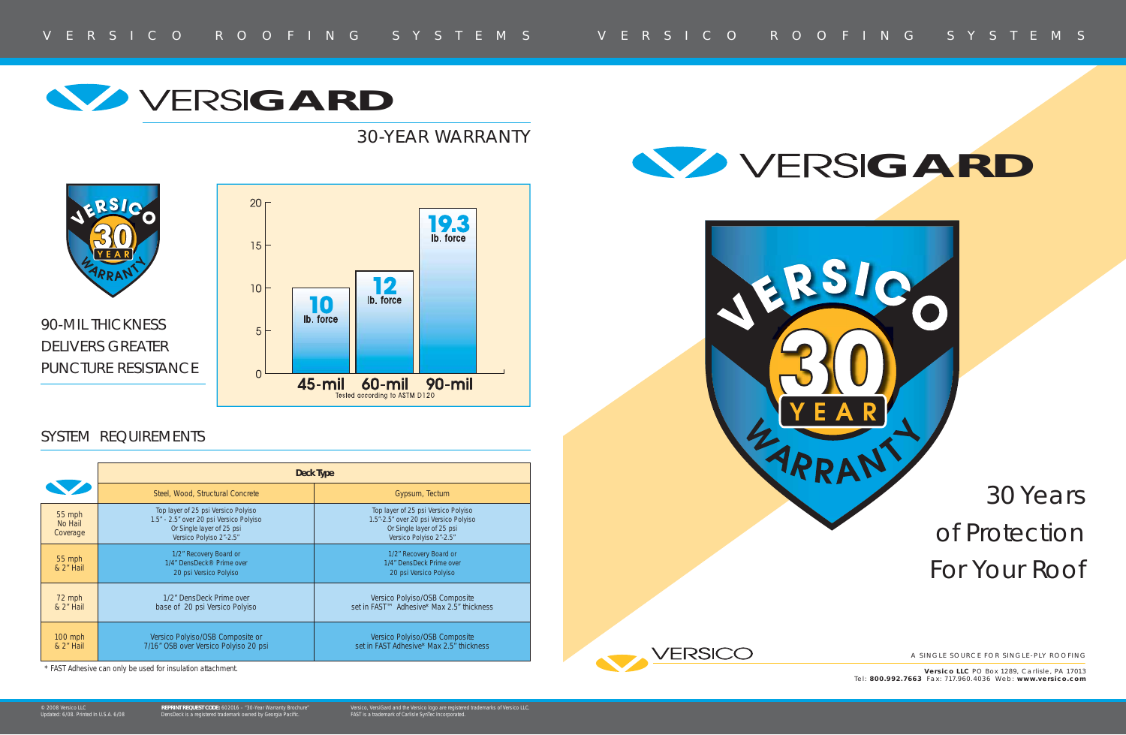# 30 Years of Protection For Your Roof

A SINGLE SOURCE FOR SINGLE-PLY ROOFING

**Versico LLC** PO Box 1289, Carlisle, PA 17013 Tel: **800.992.7663** Fax: 717.960.4 036 Web: **www.versico.com**

|                               | Deck Type                                                                                                                              |                                                                                                                                      |
|-------------------------------|----------------------------------------------------------------------------------------------------------------------------------------|--------------------------------------------------------------------------------------------------------------------------------------|
|                               | Steel, Wood, Structural Concrete                                                                                                       | Gypsum, Tectum                                                                                                                       |
| 55 mph<br>No Hail<br>Coverage | Top layer of 25 psi Versico Polyiso<br>1.5" - 2.5" over 20 psi Versico Polyiso<br>Or Single layer of 25 psi<br>Versico Polyiso 2"-2.5" | Top layer of 25 psi Versico Polyiso<br>1.5"-2.5" over 20 psi Versico Polyiso<br>Or Single layer of 25 psi<br>Versico Polyiso 2"-2.5" |
| $55$ mph<br>& 2" Hail         | 1/2" Recovery Board or<br>1/4" DensDeck <sup>®</sup> Prime over<br>20 psi Versico Polyiso                                              | 1/2" Recovery Board or<br>1/4" DensDeck Prime over<br>20 psi Versico Polyiso                                                         |
| 72 mph<br>& 2" Hail           | 1/2" DensDeck Prime over<br>base of 20 psi Versico Polyiso                                                                             | Versico Polyiso/OSB Composite<br>set in FAST™ Adhesive* Max 2.5" thickness                                                           |
| $100$ mph<br>& 2" Hail        | Versico Polyiso/OSB Composite or<br>7/16" OSB over Versico Polyiso 20 psi                                                              | Versico Polyiso/OSB Composite<br>set in FAST Adhesive* Max 2.5" thickness                                                            |



\* FAST Adhesive can only be used for insulation attachment.



# **GARD**

RS 1

### SYSTEM REQUIREMENTS

90-MIL THICKNESS DELIVERS GREATER PUNCTURE RESISTANCE





# 30-YEAR WARRANTY